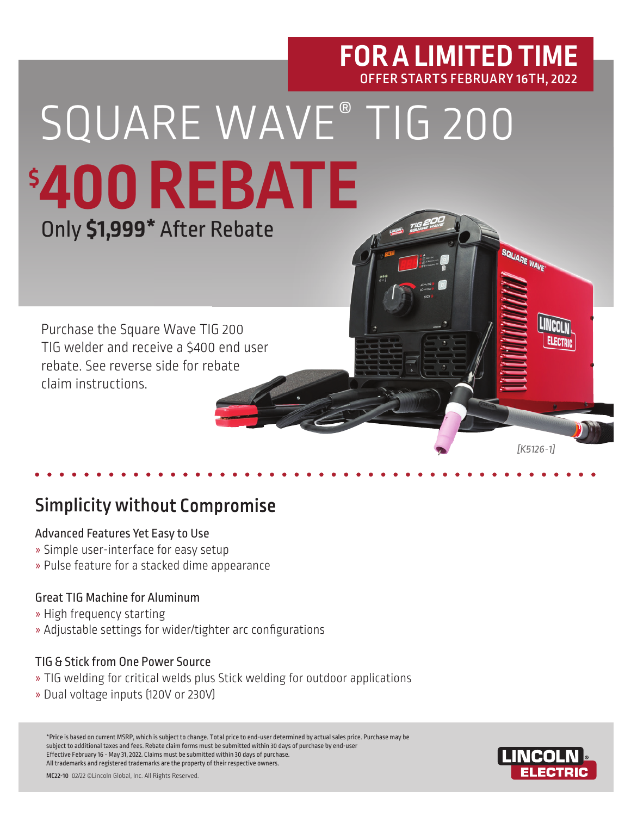## OFFER STARTS FEBRUARY 16TH, 2022 **FOR A LIMITED TIME**

## SQUARE WAVE® TIG 200 **\$ 400 REBATE** Only **\$1,999\*** After Rebate

Purchase the Square Wave TIG 200 TIG welder and receive a \$400 end user rebate. See reverse side for rebate claim instructions.

## Simplicity without Compromise

#### Advanced Features Yet Easy to Use

- » Simple user-interface for easy setup
- » Pulse feature for a stacked dime appearance

#### Great TIG Machine for Aluminum

- » High frequency starting
- » Adjustable settings for wider/tighter arc configurations

#### TIG & Stick from One Power Source

- » TIG welding for critical welds plus Stick welding for outdoor applications
- » Dual voltage inputs (120V or 230V)

\*Price is based on current MSRP, which is subject to change. Total price to end-user determined by actual sales price. Purchase may be subject to additional taxes and fees. Rebate claim forms must be submitted within 30 days of purchase by end-user Effective February 16 - May 31, 2022. Claims must be submitted within 30 days of purchase. All trademarks and registered trademarks are the property of their respective owners.



*[K5126-1]* 

SQUARE WAVE

MC22-10 02/22 ©Lincoln Global, Inc. All Rights Reserved.